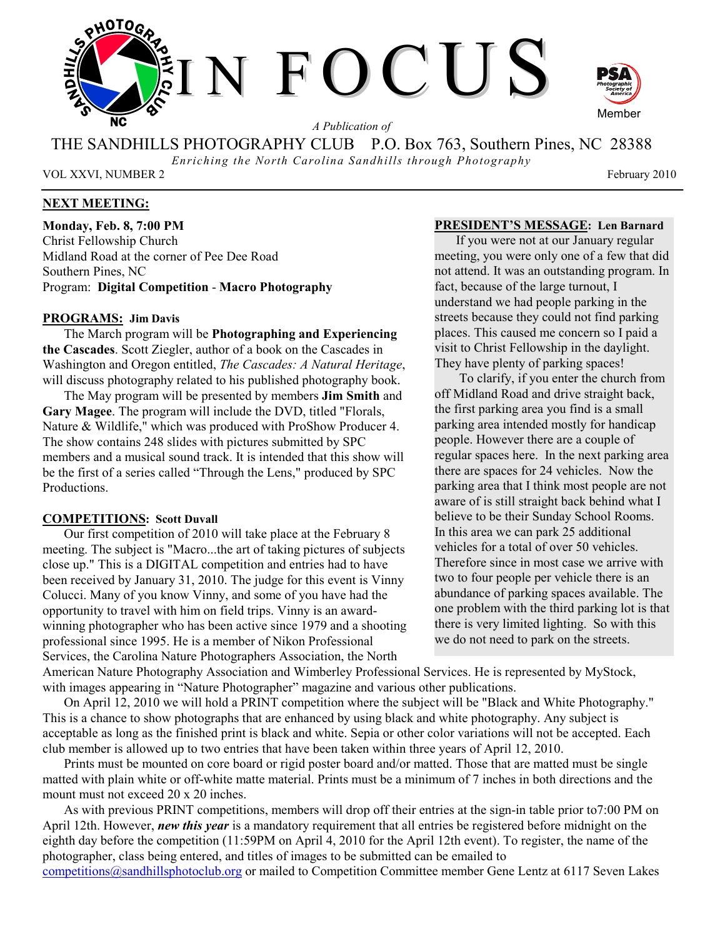

*A Publication of* 

THE SANDHILLS PHOTOGRAPHY CLUB P.O. Box 763, Southern Pines, NC 28388

*Enriching the North Carolina Sandhills through Photography* 

VOL XXVI, NUMBER 2 February 2010

## **NEXT MEETING:**

**Monday, Feb. 8, 7:00 PM**  Christ Fellowship Church Midland Road at the corner of Pee Dee Road Southern Pines, NC Program: **Digital Competition** - **Macro Photography**

#### **PROGRAMS: Jim Davis**

The March program will be **Photographing and Experiencing the Cascades**. Scott Ziegler, author of a book on the Cascades in Washington and Oregon entitled, *The Cascades: A Natural Heritage*, will discuss photography related to his published photography book.

The May program will be presented by members **Jim Smith** and **Gary Magee**. The program will include the DVD, titled "Florals, Nature & Wildlife," which was produced with ProShow Producer 4. The show contains 248 slides with pictures submitted by SPC members and a musical sound track. It is intended that this show will be the first of a series called "Through the Lens," produced by SPC Productions.

#### **COMPETITIONS: Scott Duvall**

Our first competition of 2010 will take place at the February 8 meeting. The subject is "Macro...the art of taking pictures of subjects close up." This is a DIGITAL competition and entries had to have been received by January 31, 2010. The judge for this event is Vinny Colucci. Many of you know Vinny, and some of you have had the opportunity to travel with him on field trips. Vinny is an awardwinning photographer who has been active since 1979 and a shooting professional since 1995. He is a member of Nikon Professional Services, the Carolina Nature Photographers Association, the North

**PRESIDENT'S MESSAGE: Len Barnard** 

If you were not at our January regular meeting, you were only one of a few that did not attend. It was an outstanding program. In fact, because of the large turnout, I understand we had people parking in the streets because they could not find parking places. This caused me concern so I paid a visit to Christ Fellowship in the daylight. They have plenty of parking spaces!

 To clarify, if you enter the church from off Midland Road and drive straight back, the first parking area you find is a small parking area intended mostly for handicap people. However there are a couple of regular spaces here. In the next parking area there are spaces for 24 vehicles. Now the parking area that I think most people are not aware of is still straight back behind what I believe to be their Sunday School Rooms. In this area we can park 25 additional vehicles for a total of over 50 vehicles. Therefore since in most case we arrive with two to four people per vehicle there is an abundance of parking spaces available. The one problem with the third parking lot is that there is very limited lighting. So with this we do not need to park on the streets.

American Nature Photography Association and Wimberley Professional Services. He is represented by MyStock, with images appearing in "Nature Photographer" magazine and various other publications.

 On April 12, 2010 we will hold a PRINT competition where the subject will be "Black and White Photography." This is a chance to show photographs that are enhanced by using black and white photography. Any subject is acceptable as long as the finished print is black and white. Sepia or other color variations will not be accepted. Each club member is allowed up to two entries that have been taken within three years of April 12, 2010.

Prints must be mounted on core board or rigid poster board and/or matted. Those that are matted must be single matted with plain white or off-white matte material. Prints must be a minimum of 7 inches in both directions and the mount must not exceed 20 x 20 inches.

As with previous PRINT competitions, members will drop off their entries at the sign-in table prior to7:00 PM on April 12th. However, *new this year* is a mandatory requirement that all entries be registered before midnight on the eighth day before the competition (11:59PM on April 4, 2010 for the April 12th event). To register, the name of the photographer, class being entered, and titles of images to be submitted can be emailed to

competitions@sandhillsphotoclub.org or mailed to Competition Committee member Gene Lentz at 6117 Seven Lakes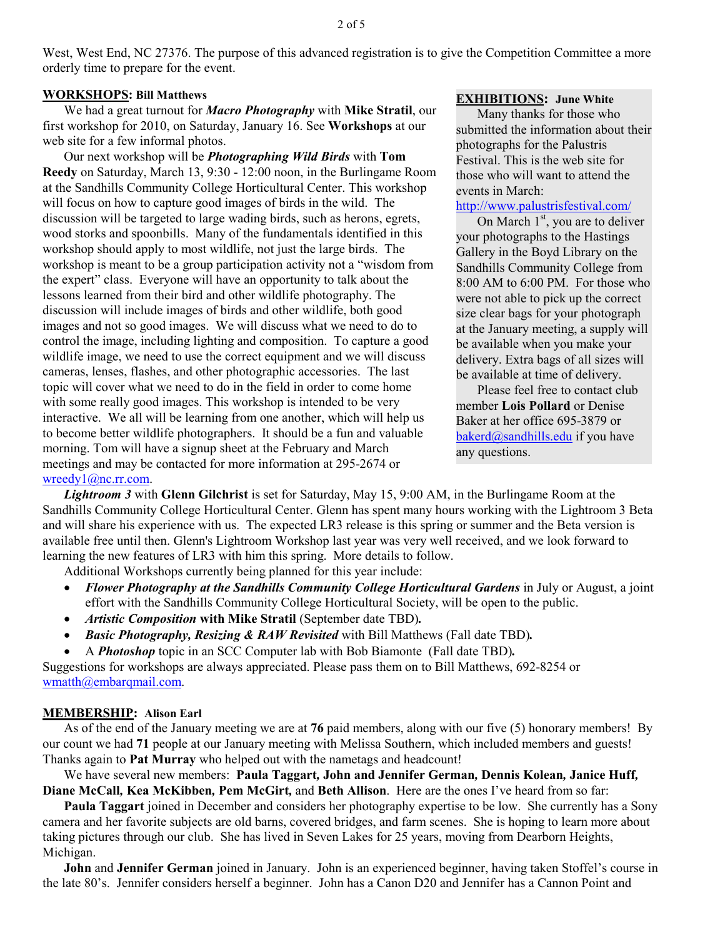West, West End, NC 27376. The purpose of this advanced registration is to give the Competition Committee a more orderly time to prepare for the event.

#### **WORKSHOPS: Bill Matthews**

We had a great turnout for *Macro Photography* with **Mike Stratil**, our first workshop for 2010, on Saturday, January 16. See **Workshops** at our web site for a few informal photos.

Our next workshop will be *Photographing Wild Birds* with **Tom Reedy** on Saturday, March 13, 9:30 - 12:00 noon, in the Burlingame Room at the Sandhills Community College Horticultural Center. This workshop will focus on how to capture good images of birds in the wild. The discussion will be targeted to large wading birds, such as herons, egrets, wood storks and spoonbills. Many of the fundamentals identified in this workshop should apply to most wildlife, not just the large birds. The workshop is meant to be a group participation activity not a "wisdom from the expert" class. Everyone will have an opportunity to talk about the lessons learned from their bird and other wildlife photography. The discussion will include images of birds and other wildlife, both good images and not so good images. We will discuss what we need to do to control the image, including lighting and composition. To capture a good wildlife image, we need to use the correct equipment and we will discuss cameras, lenses, flashes, and other photographic accessories. The last topic will cover what we need to do in the field in order to come home with some really good images. This workshop is intended to be very interactive. We all will be learning from one another, which will help us to become better wildlife photographers. It should be a fun and valuable morning. Tom will have a signup sheet at the February and March meetings and may be contacted for more information at 295-2674 or wreedy1@nc.rr.com.

## **EXHIBITIONS: June White**

Many thanks for those who submitted the information about their photographs for the Palustris Festival. This is the web site for those who will want to attend the events in March:

## http://www.palustrisfestival.com/

On March  $1<sup>st</sup>$ , you are to deliver your photographs to the Hastings Gallery in the Boyd Library on the Sandhills Community College from 8:00 AM to 6:00 PM. For those who were not able to pick up the correct size clear bags for your photograph at the January meeting, a supply will be available when you make your delivery. Extra bags of all sizes will be available at time of delivery.

Please feel free to contact club member **Lois Pollard** or Denise Baker at her office 695-3879 or bakerd@sandhills.edu if you have any questions.

*Lightroom 3* with **Glenn Gilchrist** is set for Saturday, May 15, 9:00 AM, in the Burlingame Room at the Sandhills Community College Horticultural Center. Glenn has spent many hours working with the Lightroom 3 Beta and will share his experience with us. The expected LR3 release is this spring or summer and the Beta version is available free until then. Glenn's Lightroom Workshop last year was very well received, and we look forward to learning the new features of LR3 with him this spring. More details to follow.

Additional Workshops currently being planned for this year include:

- *Flower Photography at the Sandhills Community College Horticultural Gardens* in July or August, a joint effort with the Sandhills Community College Horticultural Society, will be open to the public.
- *Artistic Composition* with Mike Stratil (September date TBD).
- *Basic Photography, Resizing & RAW Revisited* with Bill Matthews (Fall date TBD)*.*
- A *Photoshop* topic in an SCC Computer lab with Bob Biamonte (Fall date TBD)*.*

Suggestions for workshops are always appreciated. Please pass them on to Bill Matthews, 692-8254 or wmatth@embarqmail.com.

### **MEMBERSHIP: Alison Earl**

As of the end of the January meeting we are at **76** paid members, along with our five (5) honorary members! By our count we had **71** people at our January meeting with Melissa Southern, which included members and guests! Thanks again to **Pat Murray** who helped out with the nametags and headcount!

We have several new members: **Paula Taggart***,* **John and Jennifer German***,* **Dennis Kolean***,* **Janice Huff***,*  **Diane McCall***,* **Kea McKibben***,* **Pem McGirt***,* and **Beth Allison**. Here are the ones I've heard from so far:

**Paula Taggart** joined in December and considers her photography expertise to be low. She currently has a Sony camera and her favorite subjects are old barns, covered bridges, and farm scenes. She is hoping to learn more about taking pictures through our club. She has lived in Seven Lakes for 25 years, moving from Dearborn Heights, Michigan.

**John** and **Jennifer German** joined in January. John is an experienced beginner, having taken Stoffel's course in the late 80's. Jennifer considers herself a beginner. John has a Canon D20 and Jennifer has a Cannon Point and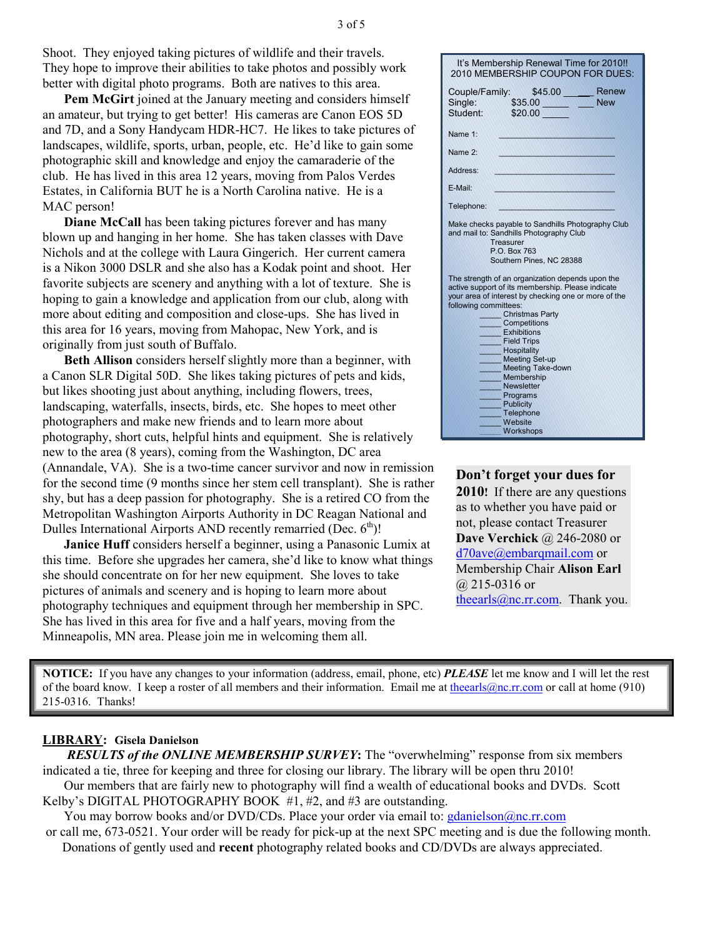Shoot. They enjoyed taking pictures of wildlife and their travels. They hope to improve their abilities to take photos and possibly work better with digital photo programs. Both are natives to this area.

**Pem McGirt** joined at the January meeting and considers himself an amateur, but trying to get better! His cameras are Canon EOS 5D and 7D, and a Sony Handycam HDR-HC7. He likes to take pictures of landscapes, wildlife, sports, urban, people, etc. He'd like to gain some photographic skill and knowledge and enjoy the camaraderie of the club. He has lived in this area 12 years, moving from Palos Verdes Estates, in California BUT he is a North Carolina native. He is a MAC person!

**Diane McCall** has been taking pictures forever and has many blown up and hanging in her home. She has taken classes with Dave Nichols and at the college with Laura Gingerich. Her current camera is a Nikon 3000 DSLR and she also has a Kodak point and shoot. Her favorite subjects are scenery and anything with a lot of texture. She is hoping to gain a knowledge and application from our club, along with more about editing and composition and close-ups. She has lived in this area for 16 years, moving from Mahopac, New York, and is originally from just south of Buffalo.

**Beth Allison** considers herself slightly more than a beginner, with a Canon SLR Digital 50D. She likes taking pictures of pets and kids, but likes shooting just about anything, including flowers, trees, landscaping, waterfalls, insects, birds, etc. She hopes to meet other photographers and make new friends and to learn more about photography, short cuts, helpful hints and equipment. She is relatively new to the area (8 years), coming from the Washington, DC area (Annandale, VA). She is a two-time cancer survivor and now in remission for the second time (9 months since her stem cell transplant). She is rather shy, but has a deep passion for photography. She is a retired CO from the Metropolitan Washington Airports Authority in DC Reagan National and Dulles International Airports AND recently remarried (Dec.  $6<sup>th</sup>$ )!

**Janice Huff** considers herself a beginner, using a Panasonic Lumix at this time. Before she upgrades her camera, she'd like to know what things she should concentrate on for her new equipment. She loves to take pictures of animals and scenery and is hoping to learn more about photography techniques and equipment through her membership in SPC. She has lived in this area for five and a half years, moving from the Minneapolis, MN area. Please join me in welcoming them all.

| It's Membership Renewal Time for 2010!!<br>2010 MEMBERSHIP COUPON FOR DUES:                                                                                                                                                                                                                                                                                                                                                         |  |  |  |
|-------------------------------------------------------------------------------------------------------------------------------------------------------------------------------------------------------------------------------------------------------------------------------------------------------------------------------------------------------------------------------------------------------------------------------------|--|--|--|
| \$45.00 Renew<br>Couple/Family:<br>\$35.00 New<br>Single:<br>Student:<br>\$20.00                                                                                                                                                                                                                                                                                                                                                    |  |  |  |
| Name 1:                                                                                                                                                                                                                                                                                                                                                                                                                             |  |  |  |
| Name 2:                                                                                                                                                                                                                                                                                                                                                                                                                             |  |  |  |
| Address:                                                                                                                                                                                                                                                                                                                                                                                                                            |  |  |  |
| E-Mail:                                                                                                                                                                                                                                                                                                                                                                                                                             |  |  |  |
| Telephone:                                                                                                                                                                                                                                                                                                                                                                                                                          |  |  |  |
| Make checks payable to Sandhills Photography Club<br>and mail to: Sandhills Photography Club<br>Treasurer<br>P.O. Box 763<br>Southern Pines, NC 28388                                                                                                                                                                                                                                                                               |  |  |  |
| The strength of an organization depends upon the<br>active support of its membership. Please indicate<br>your area of interest by checking one or more of the<br>following committees:<br>Christmas Party<br>Competitions<br>Exhibitions<br><b>Field Trips</b><br>Hospitality<br><b>Meeting Set-up</b><br><b>Meeting Take-down</b><br>Membership<br><b>Newsletter</b><br>Programs<br>Publicity<br>Telephone<br>Website<br>Workshops |  |  |  |

## **Don't forget your dues for 2010!** If there are any questions as to whether you have paid or not, please contact Treasurer **Dave Verchick** @ 246-2080 or d70ave@embarqmail.com or Membership Chair **Alison Earl** @ 215-0316 or theearls@nc.rr.com. Thank you.

**NOTICE:** If you have any changes to your information (address, email, phone, etc) *PLEASE* let me know and I will let the rest of the board know. I keep a roster of all members and their information. Email me at theearls@nc.rr.com or call at home (910) 215-0316. Thanks!

## **LIBRARY: Gisela Danielson**

*RESULTS of the ONLINE MEMBERSHIP SURVEY***:** The "overwhelming" response from six members indicated a tie, three for keeping and three for closing our library. The library will be open thru 2010! Our members that are fairly new to photography will find a wealth of educational books and DVDs. Scott

Kelby's DIGITAL PHOTOGRAPHY BOOK #1, #2, and #3 are outstanding.

You may borrow books and/or DVD/CDs. Place your order via email to:  $gdanielson@nc.rr.com$ 

 or call me, 673-0521. Your order will be ready for pick-up at the next SPC meeting and is due the following month. Donations of gently used and **recent** photography related books and CD/DVDs are always appreciated.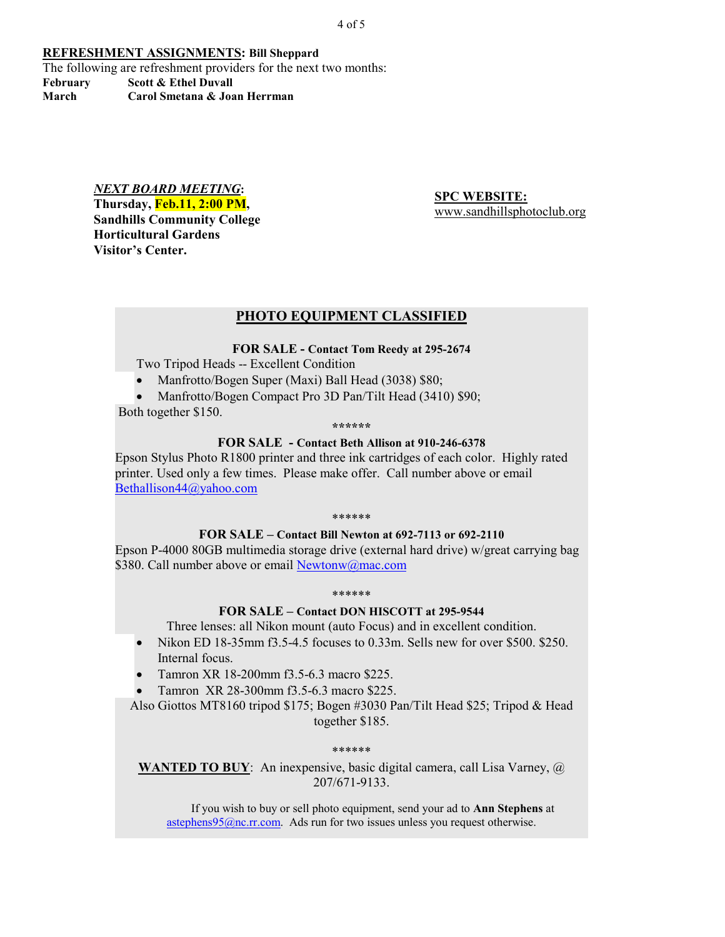4 of 5

#### **REFRESHMENT ASSIGNMENTS: Bill Sheppard**

The following are refreshment providers for the next two months: **February Scott & Ethel Duvall** 

**March Carol Smetana & Joan Herrman** 

#### *NEXT BOARD MEETING***:**

**Thursday, Feb.11, 2:00 PM, Sandhills Community College Horticultural Gardens Visitor's Center.** 

**SPC WEBSITE:** www.sandhillsphotoclub.org

## **PHOTO EQUIPMENT CLASSIFIED**

### **FOR SALE - Contact Tom Reedy at 295-2674**

Two Tripod Heads -- Excellent Condition

• Manfrotto/Bogen Super (Maxi) Ball Head (3038) \$80;

• Manfrotto/Bogen Compact Pro 3D Pan/Tilt Head (3410) \$90; Both together \$150.

**\*\*\*\*\*\*** 

#### **FOR SALE - Contact Beth Allison at 910-246-6378**

Epson Stylus Photo R1800 printer and three ink cartridges of each color. Highly rated printer. Used only a few times. Please make offer. Call number above or email Bethallison44@yahoo.com

\*\*\*\*\*\*

## **FOR SALE – Contact Bill Newton at 692-7113 or 692-2110**

Epson P-4000 80GB multimedia storage drive (external hard drive) w/great carrying bag \$380. Call number above or email Newtonw@mac.com

#### \*\*\*\*\*\*

## **FOR SALE – Contact DON HISCOTT at 295-9544**

Three lenses: all Nikon mount (auto Focus) and in excellent condition.

- Nikon ED 18-35mm f3.5-4.5 focuses to 0.33m. Sells new for over \$500, \$250. Internal focus.
- Tamron XR 18-200mm f3.5-6.3 macro \$225.
- Tamron XR 28-300mm f3.5-6.3 macro \$225.

Also Giottos MT8160 tripod \$175; Bogen #3030 Pan/Tilt Head \$25; Tripod & Head together \$185.

#### \*\*\*\*\*\*

**WANTED TO BUY**: An inexpensive, basic digital camera, call Lisa Varney, @ 207/671-9133.

If you wish to buy or sell photo equipment, send your ad to **Ann Stephens** at  $\frac{\text{astephens95@nc.rr.com}}{\text{astephens95@nc.rr.com}}$ . Ads run for two issues unless you request otherwise.